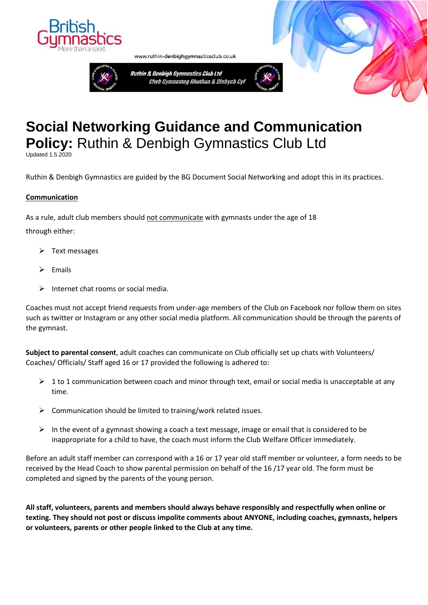



www.ruthin-denbighgymnasticsclub.co.uk

# **Social Networking Guidance and Communication Policy:** Ruthin & Denbigh Gymnastics Club Ltd

Updated 1.5.2020

Ruthin & Denbigh Gymnastics are guided by the BG Document Social Networking and adopt this in its practices.

#### **Communication**

As a rule, adult club members should not communicate with gymnasts under the age of 18 through either:

- $\triangleright$  Text messages
- **Emails**
- ➢ Internet chat rooms or social media.

Coaches must not accept friend requests from under-age members of the Club on Facebook nor follow them on sites such as twitter or Instagram or any other social media platform. All communication should be through the parents of the gymnast.

**Subject to parental consent**, adult coaches can communicate on Club officially set up chats with Volunteers/ Coaches/ Officials/ Staff aged 16 or 17 provided the following is adhered to:

- $\triangleright$  1 to 1 communication between coach and minor through text, email or social media is unacceptable at any time.
- $\triangleright$  Communication should be limited to training/work related issues.
- $\triangleright$  In the event of a gymnast showing a coach a text message, image or email that is considered to be inappropriate for a child to have, the coach must inform the Club Welfare Officer immediately.

Before an adult staff member can correspond with a 16 or 17 year old staff member or volunteer, a form needs to be received by the Head Coach to show parental permission on behalf of the 16 /17 year old. The form must be completed and signed by the parents of the young person.

**All staff, volunteers, parents and members should always behave responsibly and respectfully when online or texting. They should not post or discuss impolite comments about ANYONE, including coaches, gymnasts, helpers or volunteers, parents or other people linked to the Club at any time.**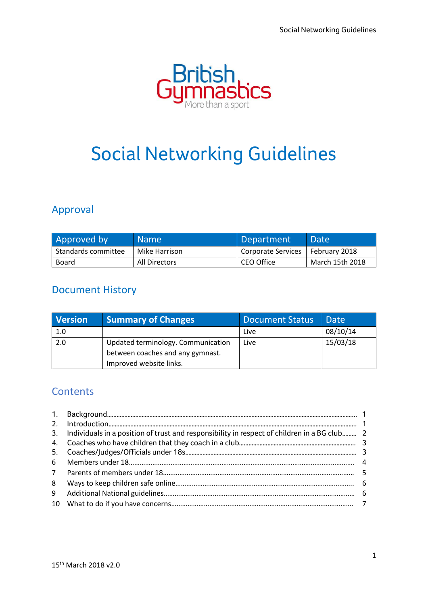

# Social Networking Guidelines

# Approval

| Approved by         | <b>Name</b>   | Department                         | <b>NDate</b>    |
|---------------------|---------------|------------------------------------|-----------------|
| Standards committee | Mike Harrison | Corporate Services   February 2018 |                 |
| Board               | All Directors | CEO Office                         | March 15th 2018 |

# Document History

| <b>Version</b> | <b>Summary of Changes</b>          | <b>Document Status</b> | <b>Date</b> |
|----------------|------------------------------------|------------------------|-------------|
| 1.0            |                                    | Live                   | 08/10/14    |
| 2.0            | Updated terminology. Communication | Live                   | 15/03/18    |
|                | between coaches and any gymnast.   |                        |             |
|                | Improved website links.            |                        |             |

### **Contents**

|   | 3. Individuals in a position of trust and responsibility in respect of children in a BG club 2 |  |
|---|------------------------------------------------------------------------------------------------|--|
|   |                                                                                                |  |
|   |                                                                                                |  |
| 6 |                                                                                                |  |
|   |                                                                                                |  |
| 8 |                                                                                                |  |
| 9 |                                                                                                |  |
|   |                                                                                                |  |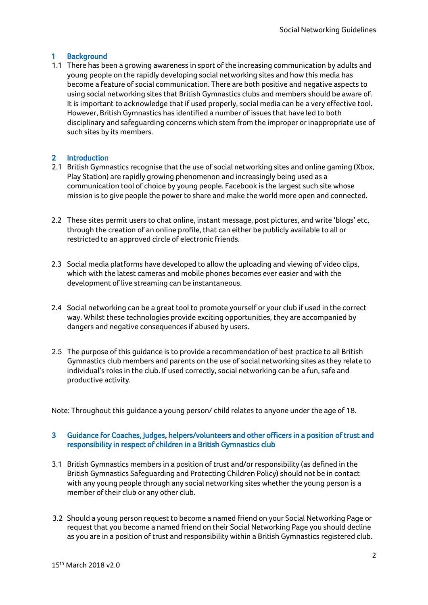#### 1 Background

1.1 There has been a growing awareness in sport of the increasing communication by adults and young people on the rapidly developing social networking sites and how this media has become a feature of social communication. There are both positive and negative aspects to using social networking sites that British Gymnastics clubs and members should be aware of. It is important to acknowledge that if used properly, social media can be a very effective tool. However, British Gymnastics has identified a number of issues that have led to both disciplinary and safeguarding concerns which stem from the improper or inappropriate use of such sites by its members.

### 2 Introduction

- 2.1 British Gymnastics recognise that the use of social networking sites and online gaming (Xbox, Play Station) are rapidly growing phenomenon and increasingly being used as a communication tool of choice by young people. Facebook is the largest such site whose mission is to give people the power to share and make the world more open and connected.
- 2.2 These sites permit users to chat online, instant message, post pictures, and write 'blogs' etc, through the creation of an online profile, that can either be publicly available to all or restricted to an approved circle of electronic friends.
- 2.3 Social media platforms have developed to allow the uploading and viewing of video clips, which with the latest cameras and mobile phones becomes ever easier and with the development of live streaming can be instantaneous.
- 2.4 Social networking can be a great tool to promote yourself or your club if used in the correct way. Whilst these technologies provide exciting opportunities, they are accompanied by dangers and negative consequences if abused by users.
- 2.5 The purpose of this guidance is to provide a recommendation of best practice to all British Gymnastics club members and parents on the use of social networking sites as they relate to individual's roles in the club. If used correctly, social networking can be a fun, safe and productive activity.

Note: Throughout this guidance a young person/ child relates to anyone under the age of 18.

#### 3 Guidance for Coaches, Judges, helpers/volunteers and other officers in a position of trust and responsibility in respect of children in a British Gymnastics club

- 3.1 British Gymnastics members in a position of trust and/or responsibility (as defined in the British Gymnastics Safeguarding and Protecting Children Policy) should not be in contact with any young people through any social networking sites whether the young person is a member of their club or any other club.
- 3.2 Should a young person request to become a named friend on your Social Networking Page or request that you become a named friend on their Social Networking Page you should decline as you are in a position of trust and responsibility within a British Gymnastics registered club.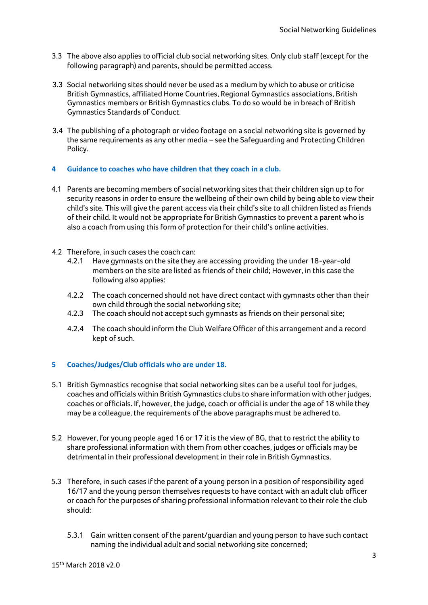- 3.3 The above also applies to official club social networking sites. Only club staff (except for the following paragraph) and parents, should be permitted access.
- 3.3 Social networking sites should never be used as a medium by which to abuse or criticise British Gymnastics, affiliated Home Countries, Regional Gymnastics associations, British Gymnastics members or British Gymnastics clubs. To do so would be in breach of British Gymnastics Standards of Conduct.
- 3.4 The publishing of a photograph or video footage on a social networking site is governed by the same requirements as any other media – see the Safeguarding and Protecting Children Policy.

#### **4 Guidance to coaches who have children that they coach in a club.**

- 4.1 Parents are becoming members of social networking sites that their children sign up to for security reasons in order to ensure the wellbeing of their own child by being able to view their child's site. This will give the parent access via their child's site to all children listed as friends of their child. It would not be appropriate for British Gymnastics to prevent a parent who is also a coach from using this form of protection for their child's online activities.
- 4.2 Therefore, in such cases the coach can:
	- 4.2.1 Have gymnasts on the site they are accessing providing the under 18-year-old members on the site are listed as friends of their child; However, in this case the following also applies:
	- 4.2.2 The coach concerned should not have direct contact with gymnasts other than their own child through the social networking site;
	- 4.2.3 The coach should not accept such gymnasts as friends on their personal site;
	- 4.2.4 The coach should inform the Club Welfare Officer of this arrangement and a record kept of such.

#### **5 Coaches/Judges/Club officials who are under 18.**

- 5.1 British Gymnastics recognise that social networking sites can be a useful tool for judges, coaches and officials within British Gymnastics clubs to share information with other judges, coaches or officials. If, however, the judge, coach or official is under the age of 18 while they may be a colleague, the requirements of the above paragraphs must be adhered to.
- 5.2 However, for young people aged 16 or 17 it is the view of BG, that to restrict the ability to share professional information with them from other coaches, judges or officials may be detrimental in their professional development in their role in British Gymnastics.
- 5.3 Therefore, in such cases if the parent of a young person in a position of responsibility aged 16/17 and the young person themselves requests to have contact with an adult club officer or coach for the purposes of sharing professional information relevant to their role the club should:
	- 5.3.1 Gain written consent of the parent/guardian and young person to have such contact naming the individual adult and social networking site concerned;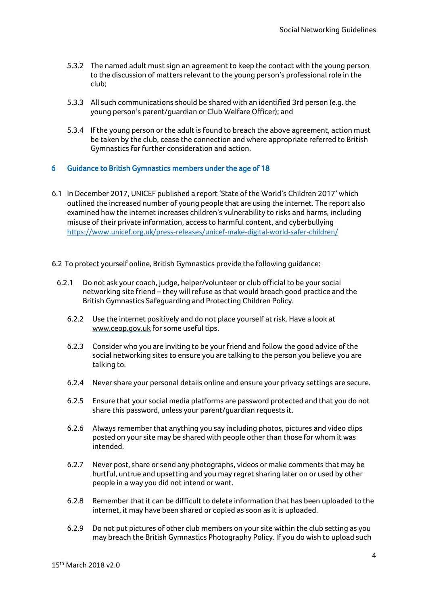- 5.3.2 The named adult must sign an agreement to keep the contact with the young person to the discussion of matters relevant to the young person's professional role in the club;
- 5.3.3 All such communications should be shared with an identified 3rd person (e.g. the young person's parent/guardian or Club Welfare Officer); and
- 5.3.4 If the young person or the adult is found to breach the above agreement, action must be taken by the club, cease the connection and where appropriate referred to British Gymnastics for further consideration and action.

#### 6 Guidance to British Gymnastics members under the age of 18

- 6.1 In December 2017, UNICEF published a report 'State of the World's Children 2017' which outlined the increased number of young people that are using the internet. The report also examined how the internet increases children's vulnerability to risks and harms, including misuse of their private information, access to harmful content, and cyberbullying <https://www.unicef.org.uk/press-releases/unicef-make-digital-world-safer-children/>
- 6.2 To protect yourself online, British Gymnastics provide the following guidance:
	- 6.2.1 Do not ask your coach, judge, helper/volunteer or club official to be your social networking site friend – they will refuse as that would breach good practice and the British Gymnastics Safeguarding and Protecting Children Policy.
		- 6.2.2 Use the internet positively and do not place yourself at risk. Have a look [at](http://www.ceop.gov.uk/)  [www.ceop.gov.uk](http://www.ceop.gov.uk/) [f](http://www.ceop.gov.uk/)or some useful tips.
		- 6.2.3 Consider who you are inviting to be your friend and follow the good advice of the social networking sites to ensure you are talking to the person you believe you are talking to.
		- 6.2.4 Never share your personal details online and ensure your privacy settings are secure.
		- 6.2.5 Ensure that your social media platforms are password protected and that you do not share this password, unless your parent/guardian requests it.
		- 6.2.6 Always remember that anything you say including photos, pictures and video clips posted on your site may be shared with people other than those for whom it was intended.
		- 6.2.7 Never post, share or send any photographs, videos or make comments that may be hurtful, untrue and upsetting and you may regret sharing later on or used by other people in a way you did not intend or want.
		- 6.2.8 Remember that it can be difficult to delete information that has been uploaded to the internet, it may have been shared or copied as soon as it is uploaded.
		- 6.2.9 Do not put pictures of other club members on your site within the club setting as you may breach the British Gymnastics Photography Policy. If you do wish to upload such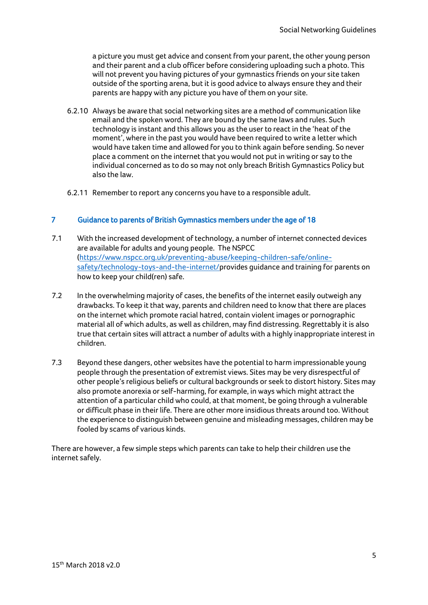a picture you must get advice and consent from your parent, the other young person and their parent and a club officer before considering uploading such a photo. This will not prevent you having pictures of your gymnastics friends on your site taken outside of the sporting arena, but it is good advice to always ensure they and their parents are happy with any picture you have of them on your site.

- 6.2.10 Always be aware that social networking sites are a method of communication like email and the spoken word. They are bound by the same laws and rules. Such technology is instant and this allows you as the user to react in the 'heat of the moment', where in the past you would have been required to write a letter which would have taken time and allowed for you to think again before sending. So never place a comment on the internet that you would not put in writing or say to the individual concerned as to do so may not only breach British Gymnastics Policy but also the law.
- 6.2.11 Remember to report any concerns you have to a responsible adult.

#### 7 Guidance to parents of British Gymnastics members under the age of 18

- 7.1 With the increased development of technology, a number of internet connected devices are available for adults and young people. The NSPCC [\(https://www.nspcc.org.uk/preventing-abuse/keeping-children-safe/online](https://www.nspcc.org.uk/preventing-abuse/keeping-children-safe/online-safety/technology-toys-and-the-internet/)[safety/technology-toys-and-the-internet/p](https://www.nspcc.org.uk/preventing-abuse/keeping-children-safe/online-safety/technology-toys-and-the-internet/)rovides guidance and training for parents on how to keep your child(ren) safe.
- 7.2 In the overwhelming majority of cases, the benefits of the internet easily outweigh any drawbacks. To keep it that way, parents and children need to know that there are places on the internet which promote racial hatred, contain violent images or pornographic material all of which adults, as well as children, may find distressing. Regrettably it is also true that certain sites will attract a number of adults with a highly inappropriate interest in children.
- 7.3 Beyond these dangers, other websites have the potential to harm impressionable young people through the presentation of extremist views. Sites may be very disrespectful of other people's religious beliefs or cultural backgrounds or seek to distort history. Sites may also promote anorexia or self-harming, for example, in ways which might attract the attention of a particular child who could, at that moment, be going through a vulnerable or difficult phase in their life. There are other more insidious threats around too. Without the experience to distinguish between genuine and misleading messages, children may be fooled by scams of various kinds.

There are however, a few simple steps which parents can take to help their children use the internet safely.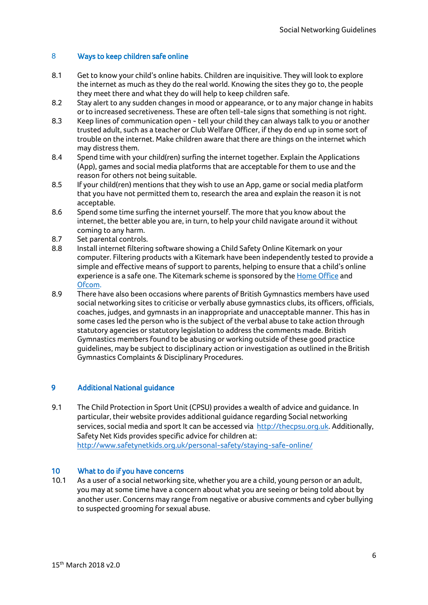#### 8 Ways to keep children safe online

- 8.1 Get to know your child's online habits. Children are inquisitive. They will look to explore the internet as much as they do the real world. Knowing the sites they go to, the people they meet there and what they do will help to keep children safe.
- 8.2 Stay alert to any sudden changes in mood or appearance, or to any major change in habits or to increased secretiveness. These are often tell-tale signs that something is not right.
- 8.3 Keep lines of communication open tell your child they can always talk to you or another trusted adult, such as a teacher or Club Welfare Officer, if they do end up in some sort of trouble on the internet. Make children aware that there are things on the internet which may distress them.
- 8.4 Spend time with your child(ren) surfing the internet together. Explain the Applications (App), games and social media platforms that are acceptable for them to use and the reason for others not being suitable.
- 8.5 If your child(ren) mentions that they wish to use an App, game or social media platform that you have not permitted them to, research the area and explain the reason it is not acceptable.
- 8.6 Spend some time surfing the internet yourself. The more that you know about the internet, the better able you are, in turn, to help your child navigate around it without coming to any harm.
- 8.7 Set parental controls.
- 8.8 Install internet filtering software showing a Child Safety Online Kitemark on your computer. Filtering products with a Kitemark have been independently tested to provide a simple and effective means of support to parents, helping to ensure that a child's online [e](http://www.homeoffice.gov.uk/)xperience is a safe one. The Kitemark scheme is sponsored by the [Home Office](http://www.homeoffice.gov.uk/) and [Ofcom.](http://www.ofcom.org.uk/)
- 8.9 There have also been occasions where parents of British Gymnastics members have used social networking sites to criticise or verbally abuse gymnastics clubs, its officers, officials, coaches, judges, and gymnasts in an inappropriate and unacceptable manner. This has in some cases led the person who is the subject of the verbal abuse to take action through statutory agencies or statutory legislation to address the comments made. British Gymnastics members found to be abusing or working outside of these good practice guidelines, may be subject to disciplinary action or investigation as outlined in the British Gymnastics Complaints & Disciplinary Procedures.

#### 9 Additional National guidance

9.1 The Child Protection in Sport Unit (CPSU) provides a wealth of advice and guidance. In particular, their website provides additional guidance regarding Social networking services, social media and sport It can be accessed via [http://thecpsu.org.uk.](http://thecpsu.org.uk/) Additionally, Safety Net Kids provides specific advice for children at: <http://www.safetynetkids.org.uk/personal-safety/staying-safe-online/>

#### 10 What to do if you have concerns

10.1 As a user of a social networking site, whether you are a child, young person or an adult, you may at some time have a concern about what you are seeing or being told about by another user. Concerns may range from negative or abusive comments and cyber bullying to suspected grooming for sexual abuse.